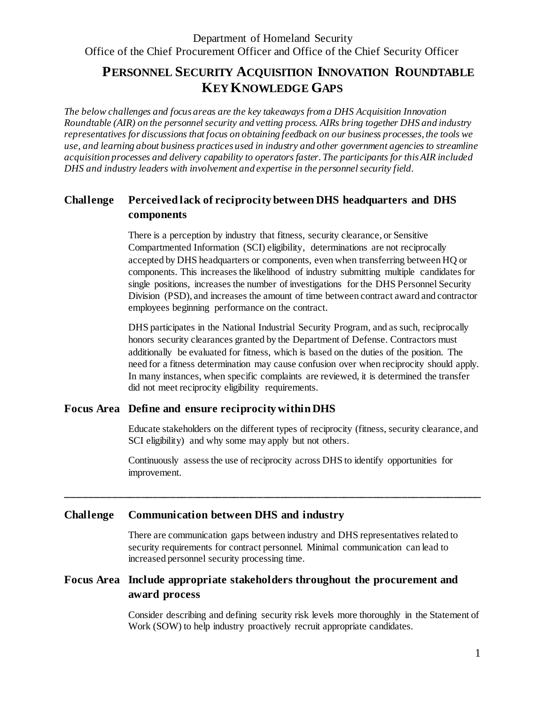# **PERSONNEL SECURITY ACQUISITION INNOVATION ROUNDTABLE KEY KNOWLEDGE GAPS**

*The below challenges and focus areas are the key takeaways from a DHS Acquisition Innovation Roundtable (AIR) on the personnel security and vetting process. AIRs bring together DHS and industry representatives for discussions that focus on obtaining feedback on our business processes, the tools we use, and learning about business practices used in industry and other government agencies to streamline acquisition processes and delivery capability to operators faster. The participants for this AIR included DHS and industry leaders with involvement and expertise in the personnel security field.*

## **Challenge Perceived lack of reciprocity between DHS headquarters and DHS components**

There is a perception by industry that fitness, security clearance, or Sensitive Compartmented Information (SCI) eligibility, determinations are not reciprocally accepted by DHS headquarters or components, even when transferring between HQ or components. This increases the likelihood of industry submitting multiple candidates for single positions, increases the number of investigations for the DHS Personnel Security Division (PSD), and increases the amount of time between contract award and contractor employees beginning performance on the contract.

DHS participates in the National Industrial Security Program, and as such, reciprocally honors security clearances granted by the Department of Defense. Contractors must additionally be evaluated for fitness, which is based on the duties of the position. The need for a fitness determination may cause confusion over when reciprocity should apply. In many instances, when specific complaints are reviewed, it is determined the transfer did not meet reciprocity eligibility requirements.

### **Focus Area Define and ensure reciprocity within DHS**

Educate stakeholders on the different types of reciprocity (fitness, security clearance, and SCI eligibility) and why some may apply but not others.

Continuously assess the use of reciprocity across DHS to identify opportunities for improvement.

**\_\_\_\_\_\_\_\_\_\_\_\_\_\_\_\_\_\_\_\_\_\_\_\_\_\_\_\_\_\_\_\_\_\_\_\_\_\_\_\_\_\_\_\_\_\_\_\_\_\_\_\_\_\_\_\_\_\_\_\_\_\_\_\_\_\_\_\_\_\_\_\_**

### **Challenge Communication between DHS and industry**

There are communication gaps between industry and DHS representatives related to security requirements for contract personnel. Minimal communication can lead to increased personnel security processing time.

### **Focus Area Include appropriate stakeholders throughout the procurement and award process**

Consider describing and defining security risk levels more thoroughly in the Statement of Work (SOW) to help industry proactively recruit appropriate candidates.